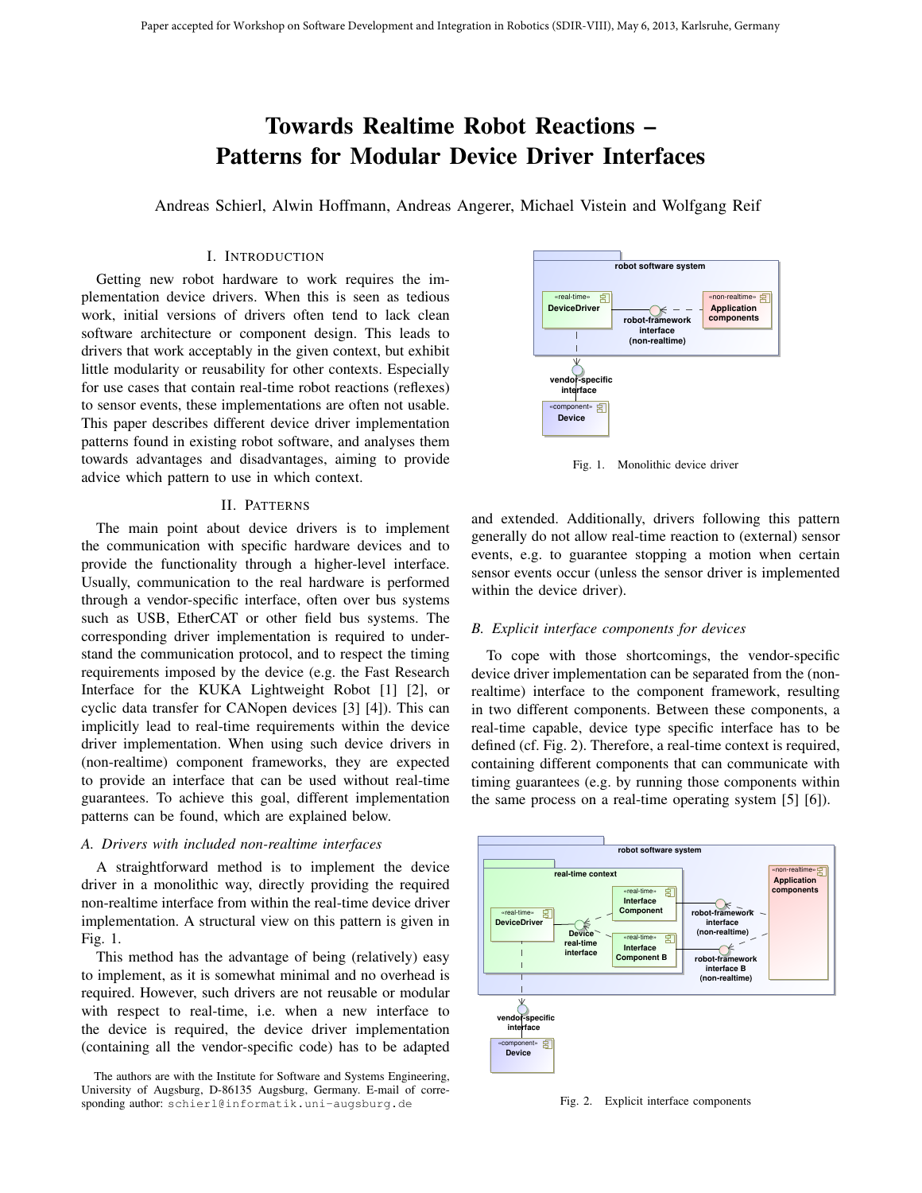# Towards Realtime Robot Reactions – Patterns for Modular Device Driver Interfaces

Andreas Schierl, Alwin Hoffmann, Andreas Angerer, Michael Vistein and Wolfgang Reif

# I. INTRODUCTION

Getting new robot hardware to work requires the implementation device drivers. When this is seen as tedious work, initial versions of drivers often tend to lack clean software architecture or component design. This leads to drivers that work acceptably in the given context, but exhibit little modularity or reusability for other contexts. Especially for use cases that contain real-time robot reactions (reflexes) to sensor events, these implementations are often not usable. This paper describes different device driver implementation patterns found in existing robot software, and analyses them towards advantages and disadvantages, aiming to provide advice which pattern to use in which context.

## II. PATTERNS

The main point about device drivers is to implement the communication with specific hardware devices and to provide the functionality through a higher-level interface. Usually, communication to the real hardware is performed through a vendor-specific interface, often over bus systems such as USB, EtherCAT or other field bus systems. The corresponding driver implementation is required to understand the communication protocol, and to respect the timing requirements imposed by the device (e.g. the Fast Research Interface for the KUKA Lightweight Robot [1] [2], or cyclic data transfer for CANopen devices [3] [4]). This can implicitly lead to real-time requirements within the device driver implementation. When using such device drivers in (non-realtime) component frameworks, they are expected to provide an interface that can be used without real-time guarantees. To achieve this goal, different implementation patterns can be found, which are explained below.

#### *A. Drivers with included non-realtime interfaces*

A straightforward method is to implement the device driver in a monolithic way, directly providing the required non-realtime interface from within the real-time device driver implementation. A structural view on this pattern is given in Fig. 1.

This method has the advantage of being (relatively) easy to implement, as it is somewhat minimal and no overhead is required. However, such drivers are not reusable or modular with respect to real-time, i.e. when a new interface to the device is required, the device driver implementation (containing all the vendor-specific code) has to be adapted



Fig. 1. Monolithic device driver

and extended. Additionally, drivers following this pattern generally do not allow real-time reaction to (external) sensor events, e.g. to guarantee stopping a motion when certain sensor events occur (unless the sensor driver is implemented within the device driver).

## *B. Explicit interface components for devices*

To cope with those shortcomings, the vendor-specific device driver implementation can be separated from the (nonrealtime) interface to the component framework, resulting in two different components. Between these components, a real-time capable, device type specific interface has to be defined (cf. Fig. 2). Therefore, a real-time context is required, containing different components that can communicate with timing guarantees (e.g. by running those components within the same process on a real-time operating system [5] [6]).



Fig. 2. Explicit interface components

The authors are with the Institute for Software and Systems Engineering, University of Augsburg, D-86135 Augsburg, Germany. E-mail of corresponding author: schierl@informatik.uni-augsburg.de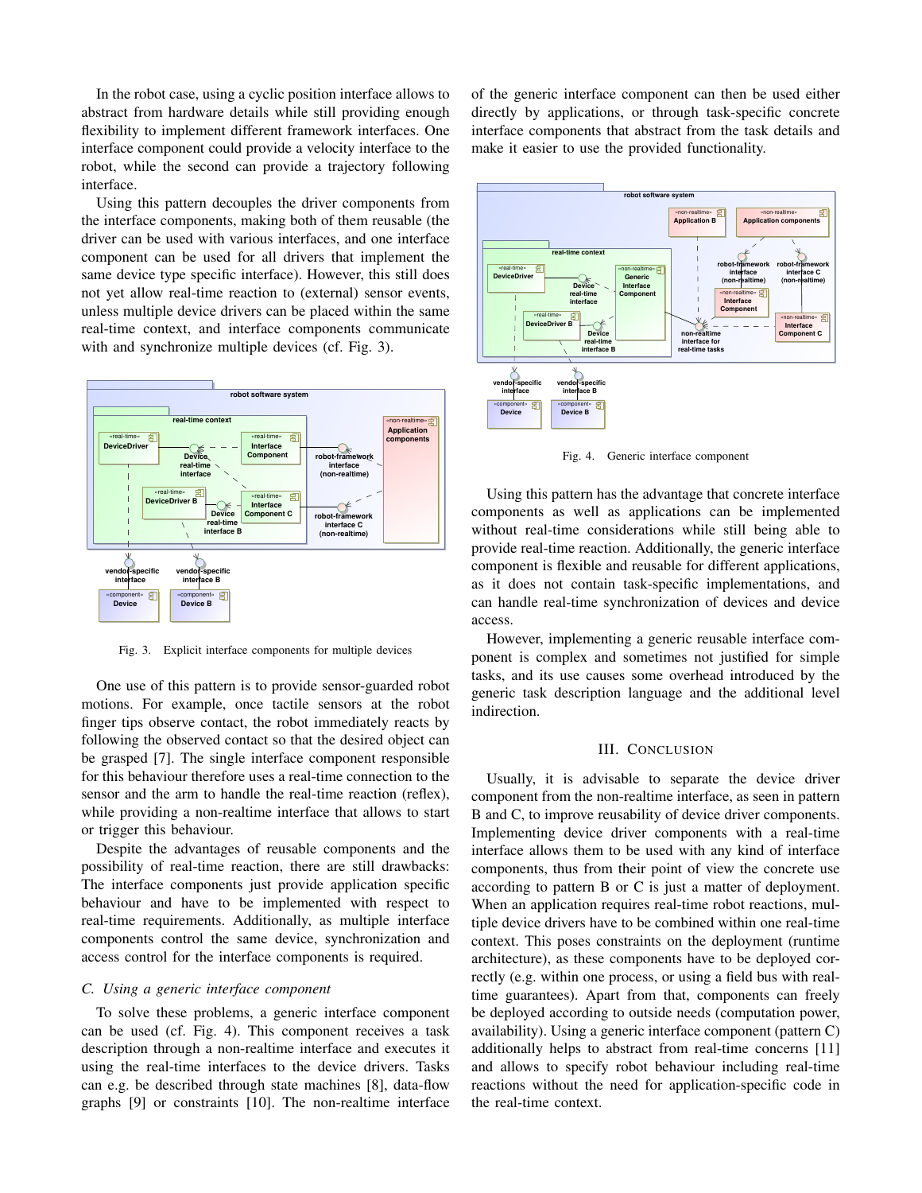In the robot case, using a cyclic position interface allows to abstract from hardware details while still providing enough flexibility to implement different framework interfaces. One interface component could provide a velocity interface to the robot, while the second can provide a trajectory following interface.

Using this pattern decouples the driver components from the interface components, making both of them reusable (the driver can be used with various interfaces, and one interface component can be used for all drivers that implement the same device type specific interface). However, this still does not yet allow real-time reaction to (external) sensor events, unless multiple device drivers can be placed within the same real-time context, and interface components communicate with and synchronize multiple devices (cf. Fig. 3).



Fig. 3. Explicit interface components for multiple devices

One use of this pattern is to provide sensor-guarded robot motions. For example, once tactile sensors at the robot finger tips observe contact, the robot immediately reacts by following the observed contact so that the desired object can be grasped [7]. The single interface component responsible for this behaviour therefore uses a real-time connection to the sensor and the arm to handle the real-time reaction (reflex), while providing a non-realtime interface that allows to start or trigger this behaviour.

Despite the advantages of reusable components and the possibility of real-time reaction, there are still drawbacks: The interface components just provide application specific behaviour and have to be implemented with respect to real-time requirements. Additionally, as multiple interface components control the same device, synchronization and access control for the interface components is required.

#### *C. Using a generic interface component*

To solve these problems, a generic interface component can be used (cf. Fig. 4). This component receives a task description through a non-realtime interface and executes it using the real-time interfaces to the device drivers. Tasks can e.g. be described through state machines [8], data-flow graphs [9] or constraints [10]. The non-realtime interface

of the generic interface component can then be used either directly by applications, or through task-specific concrete interface components that abstract from the task details and make it easier to use the provided functionality.



Fig. 4. Generic interface component

Using this pattern has the advantage that concrete interface components as well as applications can be implemented without real-time considerations while still being able to provide real-time reaction. Additionally, the generic interface component is flexible and reusable for different applications, as it does not contain task-specific implementations, and can handle real-time synchronization of devices and device access.

However, implementing a generic reusable interface component is complex and sometimes not justified for simple tasks, and its use causes some overhead introduced by the generic task description language and the additional level indirection.

# III. CONCLUSION

Usually, it is advisable to separate the device driver component from the non-realtime interface, as seen in pattern B and C, to improve reusability of device driver components. Implementing device driver components with a real-time interface allows them to be used with any kind of interface components, thus from their point of view the concrete use according to pattern B or C is just a matter of deployment. When an application requires real-time robot reactions, multiple device drivers have to be combined within one real-time context. This poses constraints on the deployment (runtime architecture), as these components have to be deployed correctly (e.g. within one process, or using a field bus with realtime guarantees). Apart from that, components can freely be deployed according to outside needs (computation power, availability). Using a generic interface component (pattern C) additionally helps to abstract from real-time concerns [11] and allows to specify robot behaviour including real-time reactions without the need for application-specific code in the real-time context.